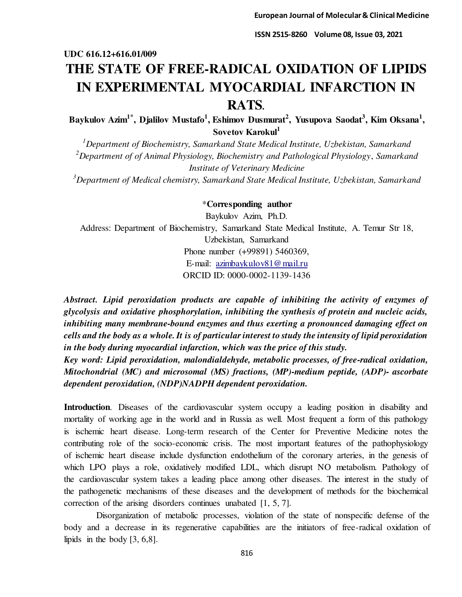# **UDC 616.12+616.01/009 THE STATE OF FREE-RADICAL OXIDATION OF LIPIDS IN EXPERIMENTAL MYOCARDIAL INFARCTION IN RATS.**

**Baykulov Azim1\*, Djalilov Mustafo<sup>1</sup> , Eshimov Dusmurat<sup>2</sup> , Yusupova Saodat<sup>3</sup> , Kim Oksana<sup>1</sup> , Sovetov Kаrоkul<sup>1</sup>**

*<sup>1</sup>Department of Biochemistry, Samarkand State Medical Institute, Uzbekistan, Samarkand <sup>2</sup>Department of of Animal Physiology, Biochemistry and Pathological Physiology*, *Samarkand Institute of Veterinary Medicine*

*<sup>3</sup>Department of Medical chemistry, Samarkand State Medical Institute, Uzbekistan, Samarkand*

\***Corresponding author**

Baykulov Azim, Ph.D. Address: Department of Biochemistry, Samarkand State Medical Institute, A. Temur Str 18, Uzbekistan, Samarkand Phone number (+99891) 5460369, E-mail: [azimbaykulov81@mail.ru](mailto:azimbaykulov81@mail.ru) ORCID ID: 0000-0002-1139-1436

*Abstract. Lipid peroxidation products are capable of inhibiting the activity of enzymes of glycolysis and oxidative phosphorylation, inhibiting the synthesis of protein and nucleic acids, inhibiting many membrane-bound enzymes and thus exerting a pronounced damaging effect on cells and the body as a whole. It is of particular interest to study the intensity of lipid peroxidation in the body during myocardial infarction, which was the price of this study.* 

*Key word: Lipid peroxidation, malondialdehyde, metabolic processes, of free-radical oxidation, Mitochondrial (MC) and microsomal (MS) fractions, (MP)-medium peptide, (ADP)- ascorbate dependent peroxidation, (NDP)NADPH dependent peroxidation.* 

**Introduction**. Diseases of the cardiovascular system occupy a leading position in disability and mortality of working age in the world and in Russia as well. Most frequent a form of this pathology is ischemic heart disease. Long-term research of the Center for Preventive Medicine notes the contributing role of the socio-economic crisis. The most important features of the pathophysiology of ischemic heart disease include dysfunction endothelium of the coronary arteries, in the genesis of which LPO plays a role, oxidatively modified LDL, which disrupt NO metabolism. Pathology of the cardiovascular system takes a leading place among other diseases. The interest in the study of the pathogenetic mechanisms of these diseases and the development of methods for the biochemical correction of the arising disorders continues unabated [1, 5, 7].

Disorganization of metabolic processes, violation of the state of nonspecific defense of the body and a decrease in its regenerative capabilities are the initiators of free-radical oxidation of lipids in the body [3, 6,8].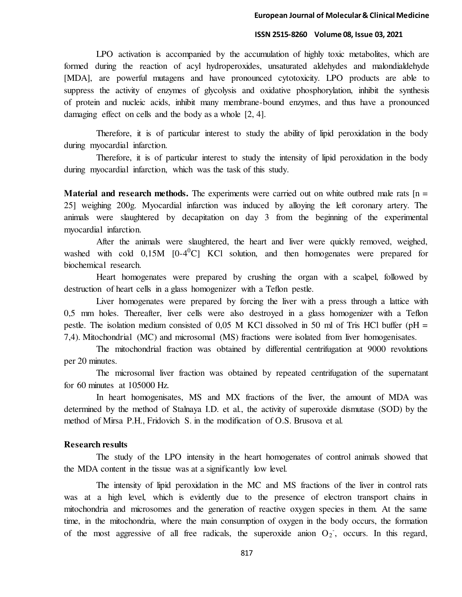LPO activation is accompanied by the accumulation of highly toxic metabolites, which are formed during the reaction of acyl hydroperoxides, unsaturated aldehydes and malondialdehyde [MDA], are powerful mutagens and have pronounced cytotoxicity. LPO products are able to suppress the activity of enzymes of glycolysis and oxidative phosphorylation, inhibit the synthesis of protein and nucleic acids, inhibit many membrane-bound enzymes, and thus have a pronounced damaging effect on cells and the body as a whole [2, 4].

Therefore, it is of particular interest to study the ability of lipid peroxidation in the body during myocardial infarction.

Therefore, it is of particular interest to study the intensity of lipid peroxidation in the body during myocardial infarction, which was the task of this study.

**Material and research methods.** The experiments were carried out on white outbred male rats [n = 25] weighing 200g. Myocardial infarction was induced by alloying the left coronary artery. The animals were slaughtered by decapitation on day 3 from the beginning of the experimental myocardial infarction.

After the animals were slaughtered, the heart and liver were quickly removed, weighed, washed with cold  $0.15M$  [0-4<sup>0</sup>C] KCl solution, and then homogenates were prepared for biochemical research.

Heart homogenates were prepared by crushing the organ with a scalpel, followed by destruction of heart cells in a glass homogenizer with a Teflon pestle.

Liver homogenates were prepared by forcing the liver with a press through a lattice with 0,5 mm holes. Thereafter, liver cells were also destroyed in a glass homogenizer with a Teflon pestle. The isolation medium consisted of  $0.05$  M KCl dissolved in 50 ml of Tris HCl buffer (pH = 7,4). Mitochondrial (MC) and microsomal (MS) fractions were isolated from liver homogenisates.

The mitochondrial fraction was obtained by differential centrifugation at 9000 revolutions per 20 minutes.

The microsomal liver fraction was obtained by repeated centrifugation of the supernatant for 60 minutes at 105000 Hz.

In heart homogenisates, MS and MX fractions of the liver, the amount of MDA was determined by the method of Stalnaya I.D. et al., the activity of superoxide dismutase (SOD) by the method of Mirsa P.H., Fridovich S. in the modification of O.S. Brusova et al.

#### **Research results**

The study of the LPO intensity in the heart homogenates of control animals showed that the MDA content in the tissue was at a significantly low level.

The intensity of lipid peroxidation in the MC and MS fractions of the liver in control rats was at a high level, which is evidently due to the presence of electron transport chains in mitochondria and microsomes and the generation of reactive oxygen species in them. At the same time, in the mitochondria, where the main consumption of oxygen in the body occurs, the formation of the most aggressive of all free radicals, the superoxide anion  $O_2$ , occurs. In this regard,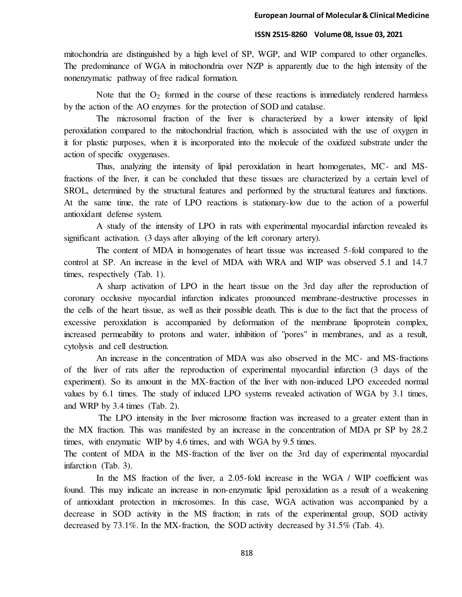mitochondria are distinguished by a high level of SP, WGP, and WIP compared to other organelles. The predominance of WGA in mitochondria over NZP is apparently due to the high intensity of the nonenzymatic pathway of free radical formation.

Note that the  $O_2$  formed in the course of these reactions is immediately rendered harmless by the action of the AO enzymes for the protection of SOD and catalase.

The microsomal fraction of the liver is characterized by a lower intensity of lipid peroxidation compared to the mitochondrial fraction, which is associated with the use of oxygen in it for plastic purposes, when it is incorporated into the molecule of the oxidized substrate under the action of specific oxygenases.

Thus, analyzing the intensity of lipid peroxidation in heart homogenates, MC- and MSfractions of the liver, it can be concluded that these tissues are characterized by a certain level of SROL, determined by the structural features and performed by the structural features and functions. At the same time, the rate of LPO reactions is stationary-low due to the action of a powerful antioxidant defense system.

A study of the intensity of LPO in rats with experimental myocardial infarction revealed its significant activation. (3 days after alloying of the left coronary artery).

The content of MDA in homogenates of heart tissue was increased 5-fold compared to the control at SP. An increase in the level of MDA with WRA and WIP was observed 5.1 and 14.7 times, respectively (Tab. 1).

A sharp activation of LPO in the heart tissue on the 3rd day after the reproduction of coronary occlusive myocardial infarction indicates pronounced membrane-destructive processes in the cells of the heart tissue, as well as their possible death. This is due to the fact that the process of excessive peroxidation is accompanied by deformation of the membrane lipoprotein complex, increased permeability to protons and water, inhibition of "pores" in membranes, and as a result, cytolysis and cell destruction.

An increase in the concentration of MDA was also observed in the MC- and MS-fractions of the liver of rats after the reproduction of experimental myocardial infarction (3 days of the experiment). So its amount in the MX-fraction of the liver with non-induced LPO exceeded normal values by 6.1 times. The study of induced LPO systems revealed activation of WGA by 3.1 times, and WRP by 3.4 times (Tab. 2).

 The LPO intensity in the liver microsome fraction was increased to a greater extent than in the MX fraction. This was manifested by an increase in the concentration of MDA pr SP by 28.2 times, with enzymatic WIP by 4.6 times, and with WGA by 9.5 times.

The content of MDA in the MS-fraction of the liver on the 3rd day of experimental myocardial infarction (Tab. 3).

In the MS fraction of the liver, a 2.05-fold increase in the WGA / WIP coefficient was found. This may indicate an increase in non-enzymatic lipid peroxidation as a result of a weakening of antioxidant protection in microsomes. In this case, WGA activation was accompanied by a decrease in SOD activity in the MS fraction; in rats of the experimental group, SOD activity decreased by 73.1%. In the MX-fraction, the SOD activity decreased by 31.5% (Tab. 4).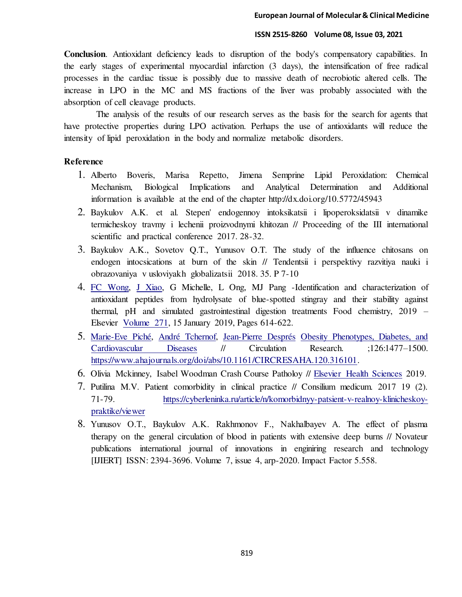**Conclusion**. Antioxidant deficiency leads to disruption of the body's compensatory capabilities. In the early stages of experimental myocardial infarction (3 days), the intensification of free radical processes in the cardiac tissue is possibly due to massive death of necrobiotic altered cells. The increase in LPO in the MC and MS fractions of the liver was probably associated with the absorption of cell cleavage products.

The analysis of the results of our research serves as the basis for the search for agents that have protective properties during LPO activation. Perhaps the use of antioxidants will reduce the intensity of lipid peroxidation in the body and normalize metabolic disorders.

#### **Reference**

- 1. Alberto Boveris, Marisa Repetto, Jimena Semprine Lipid Peroxidation: Chemical Mechanism, Biological Implications and Analytical Determination and Additional information is available at the end of the chapter http://dx.doi.org/10.5772/45943
- 2. Baykulov A.K. et al. Stepen' endogennoy intoksikatsii i lipoperoksidatsii v dinamike termicheskoy travmy i lechenii proizvodnymi khitozan // Proceeding of the III international scientific and practical conference 2017. 28-32.
- 3. Baykulov A.K., Sovetov Q.T., Yunusov O.T. The study of the influence chitosans on endogen intocsications at burn of the skin // Tendentsii i perspektivy razvitiya nauki i obrazovaniya v usloviyakh globalizatsii 2018. 35. P 7-10
- 4. [FC Wong,](https://scholar.google.ru/citations?user=wBuNdC8AAAAJ&hl=ru&oi=sra) [J Xiao](https://scholar.google.ru/citations?user=ynyR9nUAAAAJ&hl=ru&oi=sra), G Michelle, L Ong, MJ Pang -Identification and characterization of antioxidant peptides from hydrolysate of blue-spotted stingray and their stability against thermal, pH and simulated gastrointestinal digestion treatments Food chemistry, 2019 – Elsevier [Volume 271,](https://www.sciencedirect.com/science/journal/03088146/271/supp/C) 15 January 2019, Pages 614-622.
- 5. [Marie-Eve Piché, André Tchernof, Jean-Pierre Després](https://www.ahajournals.org/doi/abs/10.1161/CIRCRESAHA.120.316101) [Obesity Phenotypes, Diabetes, and](https://www.ahajournals.org/doi/full/10.1161/CIRCRESAHA.120.316101)  [Cardiovascular Diseases](https://www.ahajournals.org/doi/full/10.1161/CIRCRESAHA.120.316101) // Circulation Research. ;126:1477–1500. [https://www.ahajournals.org/doi/abs/10.1161/CIRCRESAHA.120.316101.](https://www.ahajournals.org/doi/abs/10.1161/CIRCRESAHA.120.316101)
- 6. Olivia Mckinney, Isabel Woodman Crash Course Patholoy // [Elsevier Health Sciences](https://books.google.co.uz/url?id=AhSLDwAAQBAJ&pg=PP1&q=http://www.us.elsevierhealth.com/&linkid=1&usg=AFQjCNEE3ATXqEAjLY2uu-t8hvH0AvmHOw&source=gbs_pub_info_r) 2019.
- 7. Putilina M.V. Patient comorbidity in clinical practice // Consilium medicum. 2017 19 (2). 71-79. [https://cyberleninka.ru/article/n/komorbidnyy-patsient-v-realnoy-klinicheskoy](https://cyberleninka.ru/article/n/komorbidnyy-patsient-v-realnoy-klinicheskoy-praktike/viewer)[praktike/viewer](https://cyberleninka.ru/article/n/komorbidnyy-patsient-v-realnoy-klinicheskoy-praktike/viewer)
- 8. Yunusov O.T., Baykulov A.K. Rakhmonov F., Nakhalbayev А. The effect of plasma therapy on the general circulation of blood in patients with extensive deep burns // Novateur publications international journal of innovations in enginiring research and technology [IJIERT] ISSN: 2394-3696. Volume 7, issue 4, arp-2020. Impact Factor 5.558.